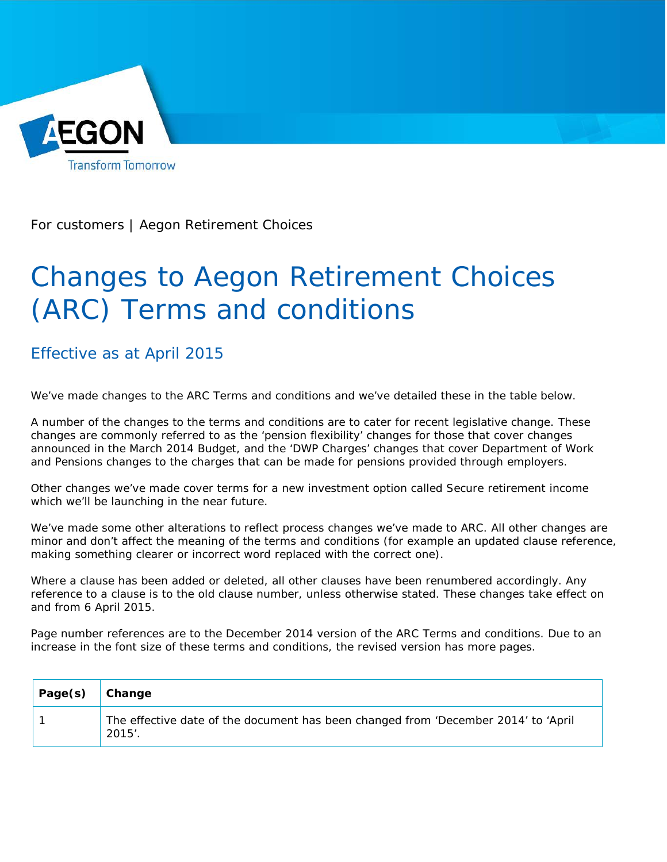

For customers | Aegon Retirement Choices

## Changes to Aegon Retirement Choices (ARC) Terms and conditions

Effective as at April 2015

We've made changes to the ARC Terms and conditions and we've detailed these in the table below.

A number of the changes to the terms and conditions are to cater for recent legislative change. These changes are commonly referred to as the 'pension flexibility' changes for those that cover changes announced in the March 2014 Budget, and the 'DWP Charges' changes that cover Department of Work and Pensions changes to the charges that can be made for pensions provided through employers.

Other changes we've made cover terms for a new investment option called Secure retirement income which we'll be launching in the near future.

We've made some other alterations to reflect process changes we've made to ARC. All other changes are minor and don't affect the meaning of the terms and conditions (for example an updated clause reference, making something clearer or incorrect word replaced with the correct one).

Where a clause has been added or deleted, all other clauses have been renumbered accordingly. Any reference to a clause is to the old clause number, unless otherwise stated. These changes take effect on and from 6 April 2015.

Page number references are to the December 2014 version of the ARC Terms and conditions. Due to an increase in the font size of these terms and conditions, the revised version has more pages.

| Page(s) | $ $ Change                                                                                      |
|---------|-------------------------------------------------------------------------------------------------|
|         | The effective date of the document has been changed from 'December 2014' to 'April<br>$2015'$ . |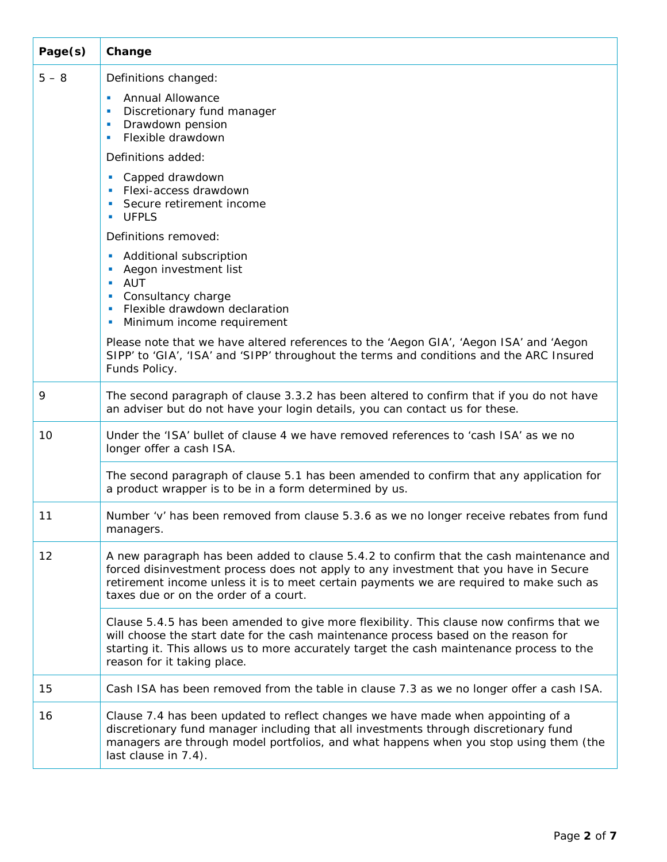| Page(s) | Change                                                                                                                                                                                                                                                                                                               |
|---------|----------------------------------------------------------------------------------------------------------------------------------------------------------------------------------------------------------------------------------------------------------------------------------------------------------------------|
| $5 - 8$ | Definitions changed:                                                                                                                                                                                                                                                                                                 |
|         | <b>Annual Allowance</b><br>п<br>Discretionary fund manager<br>Drawdown pension<br>Flexible drawdown                                                                                                                                                                                                                  |
|         | Definitions added:                                                                                                                                                                                                                                                                                                   |
|         | Capped drawdown<br>Flexi-access drawdown<br>Secure retirement income<br><b>UFPLS</b>                                                                                                                                                                                                                                 |
|         | Definitions removed:                                                                                                                                                                                                                                                                                                 |
|         | Additional subscription<br>Aegon investment list<br>AUT<br>Consultancy charge<br>Flexible drawdown declaration<br>Minimum income requirement                                                                                                                                                                         |
|         | Please note that we have altered references to the 'Aegon GIA', 'Aegon ISA' and 'Aegon<br>SIPP' to 'GIA', 'ISA' and 'SIPP' throughout the terms and conditions and the ARC Insured<br>Funds Policy.                                                                                                                  |
| 9       | The second paragraph of clause 3.3.2 has been altered to confirm that if you do not have<br>an adviser but do not have your login details, you can contact us for these.                                                                                                                                             |
| 10      | Under the 'ISA' bullet of clause 4 we have removed references to 'cash ISA' as we no<br>longer offer a cash ISA.                                                                                                                                                                                                     |
|         | The second paragraph of clause 5.1 has been amended to confirm that any application for<br>a product wrapper is to be in a form determined by us.                                                                                                                                                                    |
| 11      | Number 'v' has been removed from clause 5.3.6 as we no longer receive rebates from fund<br>managers.                                                                                                                                                                                                                 |
| 12      | A new paragraph has been added to clause 5.4.2 to confirm that the cash maintenance and<br>forced disinvestment process does not apply to any investment that you have in Secure<br>retirement income unless it is to meet certain payments we are required to make such as<br>taxes due or on the order of a court. |
|         | Clause 5.4.5 has been amended to give more flexibility. This clause now confirms that we<br>will choose the start date for the cash maintenance process based on the reason for<br>starting it. This allows us to more accurately target the cash maintenance process to the<br>reason for it taking place.          |
| 15      | Cash ISA has been removed from the table in clause 7.3 as we no longer offer a cash ISA.                                                                                                                                                                                                                             |
| 16      | Clause 7.4 has been updated to reflect changes we have made when appointing of a<br>discretionary fund manager including that all investments through discretionary fund<br>managers are through model portfolios, and what happens when you stop using them (the<br>last clause in 7.4).                            |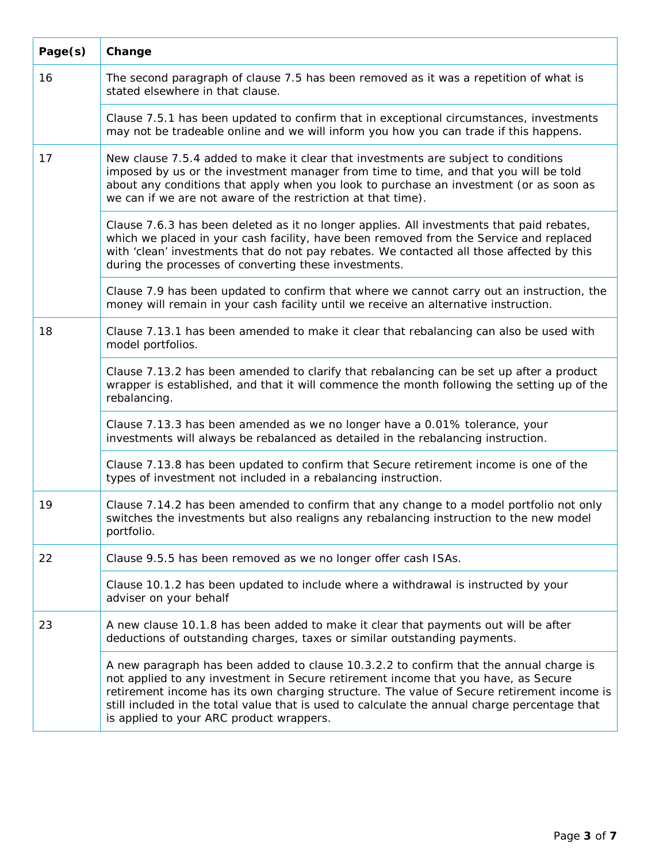| Page(s) | Change                                                                                                                                                                                                                                                                                                                                                                                                                  |
|---------|-------------------------------------------------------------------------------------------------------------------------------------------------------------------------------------------------------------------------------------------------------------------------------------------------------------------------------------------------------------------------------------------------------------------------|
| 16      | The second paragraph of clause 7.5 has been removed as it was a repetition of what is<br>stated elsewhere in that clause.                                                                                                                                                                                                                                                                                               |
|         | Clause 7.5.1 has been updated to confirm that in exceptional circumstances, investments<br>may not be tradeable online and we will inform you how you can trade if this happens.                                                                                                                                                                                                                                        |
| 17      | New clause 7.5.4 added to make it clear that investments are subject to conditions<br>imposed by us or the investment manager from time to time, and that you will be told<br>about any conditions that apply when you look to purchase an investment (or as soon as<br>we can if we are not aware of the restriction at that time).                                                                                    |
|         | Clause 7.6.3 has been deleted as it no longer applies. All investments that paid rebates,<br>which we placed in your cash facility, have been removed from the Service and replaced<br>with 'clean' investments that do not pay rebates. We contacted all those affected by this<br>during the processes of converting these investments.                                                                               |
|         | Clause 7.9 has been updated to confirm that where we cannot carry out an instruction, the<br>money will remain in your cash facility until we receive an alternative instruction.                                                                                                                                                                                                                                       |
| 18      | Clause 7.13.1 has been amended to make it clear that rebalancing can also be used with<br>model portfolios.                                                                                                                                                                                                                                                                                                             |
|         | Clause 7.13.2 has been amended to clarify that rebalancing can be set up after a product<br>wrapper is established, and that it will commence the month following the setting up of the<br>rebalancing.                                                                                                                                                                                                                 |
|         | Clause 7.13.3 has been amended as we no longer have a 0.01% tolerance, your<br>investments will always be rebalanced as detailed in the rebalancing instruction.                                                                                                                                                                                                                                                        |
|         | Clause 7.13.8 has been updated to confirm that Secure retirement income is one of the<br>types of investment not included in a rebalancing instruction.                                                                                                                                                                                                                                                                 |
| 19      | Clause 7.14.2 has been amended to confirm that any change to a model portfolio not only<br>switches the investments but also realigns any rebalancing instruction to the new model<br>portfolio.                                                                                                                                                                                                                        |
| 22      | Clause 9.5.5 has been removed as we no longer offer cash ISAs.                                                                                                                                                                                                                                                                                                                                                          |
|         | Clause 10.1.2 has been updated to include where a withdrawal is instructed by your<br>adviser on your behalf                                                                                                                                                                                                                                                                                                            |
| 23      | A new clause 10.1.8 has been added to make it clear that payments out will be after<br>deductions of outstanding charges, taxes or similar outstanding payments.                                                                                                                                                                                                                                                        |
|         | A new paragraph has been added to clause 10.3.2.2 to confirm that the annual charge is<br>not applied to any investment in Secure retirement income that you have, as Secure<br>retirement income has its own charging structure. The value of Secure retirement income is<br>still included in the total value that is used to calculate the annual charge percentage that<br>is applied to your ARC product wrappers. |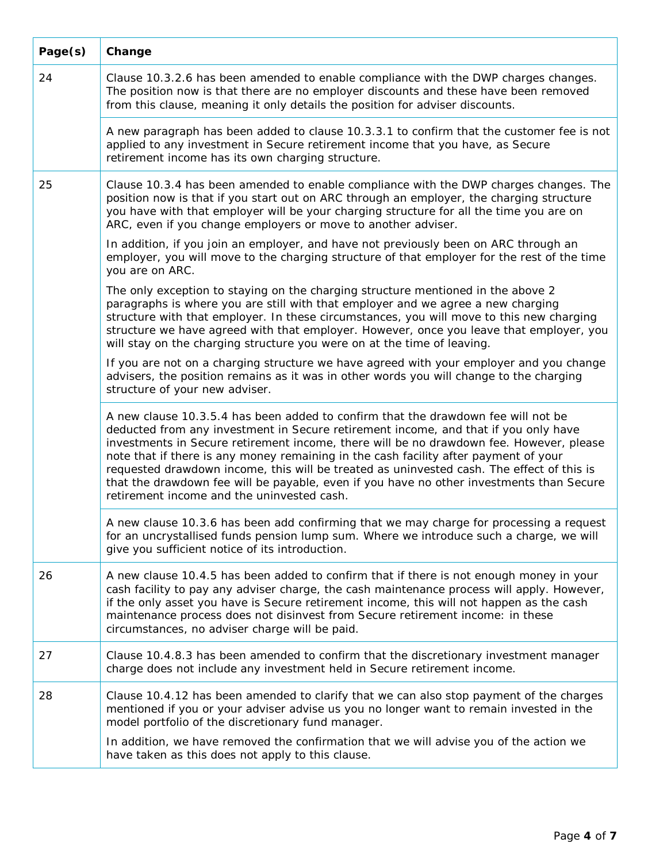| Page(s) | Change                                                                                                                                                                                                                                                                                                                                                                                                                                                                                                                                                                                             |
|---------|----------------------------------------------------------------------------------------------------------------------------------------------------------------------------------------------------------------------------------------------------------------------------------------------------------------------------------------------------------------------------------------------------------------------------------------------------------------------------------------------------------------------------------------------------------------------------------------------------|
| 24      | Clause 10.3.2.6 has been amended to enable compliance with the DWP charges changes.<br>The position now is that there are no employer discounts and these have been removed<br>from this clause, meaning it only details the position for adviser discounts.                                                                                                                                                                                                                                                                                                                                       |
|         | A new paragraph has been added to clause 10.3.3.1 to confirm that the customer fee is not<br>applied to any investment in Secure retirement income that you have, as Secure<br>retirement income has its own charging structure.                                                                                                                                                                                                                                                                                                                                                                   |
| 25      | Clause 10.3.4 has been amended to enable compliance with the DWP charges changes. The<br>position now is that if you start out on ARC through an employer, the charging structure<br>you have with that employer will be your charging structure for all the time you are on<br>ARC, even if you change employers or move to another adviser.                                                                                                                                                                                                                                                      |
|         | In addition, if you join an employer, and have not previously been on ARC through an<br>employer, you will move to the charging structure of that employer for the rest of the time<br>you are on ARC.                                                                                                                                                                                                                                                                                                                                                                                             |
|         | The only exception to staying on the charging structure mentioned in the above 2<br>paragraphs is where you are still with that employer and we agree a new charging<br>structure with that employer. In these circumstances, you will move to this new charging<br>structure we have agreed with that employer. However, once you leave that employer, you<br>will stay on the charging structure you were on at the time of leaving.                                                                                                                                                             |
|         | If you are not on a charging structure we have agreed with your employer and you change<br>advisers, the position remains as it was in other words you will change to the charging<br>structure of your new adviser.                                                                                                                                                                                                                                                                                                                                                                               |
|         | A new clause 10.3.5.4 has been added to confirm that the drawdown fee will not be<br>deducted from any investment in Secure retirement income, and that if you only have<br>investments in Secure retirement income, there will be no drawdown fee. However, please<br>note that if there is any money remaining in the cash facility after payment of your<br>requested drawdown income, this will be treated as uninvested cash. The effect of this is<br>that the drawdown fee will be payable, even if you have no other investments than Secure<br>retirement income and the uninvested cash. |
|         | A new clause 10.3.6 has been add confirming that we may charge for processing a request<br>for an uncrystallised funds pension lump sum. Where we introduce such a charge, we will<br>give you sufficient notice of its introduction.                                                                                                                                                                                                                                                                                                                                                              |
| 26      | A new clause 10.4.5 has been added to confirm that if there is not enough money in your<br>cash facility to pay any adviser charge, the cash maintenance process will apply. However,<br>if the only asset you have is Secure retirement income, this will not happen as the cash<br>maintenance process does not disinvest from Secure retirement income: in these<br>circumstances, no adviser charge will be paid.                                                                                                                                                                              |
| 27      | Clause 10.4.8.3 has been amended to confirm that the discretionary investment manager<br>charge does not include any investment held in Secure retirement income.                                                                                                                                                                                                                                                                                                                                                                                                                                  |
| 28      | Clause 10.4.12 has been amended to clarify that we can also stop payment of the charges<br>mentioned if you or your adviser advise us you no longer want to remain invested in the<br>model portfolio of the discretionary fund manager.                                                                                                                                                                                                                                                                                                                                                           |
|         | In addition, we have removed the confirmation that we will advise you of the action we<br>have taken as this does not apply to this clause.                                                                                                                                                                                                                                                                                                                                                                                                                                                        |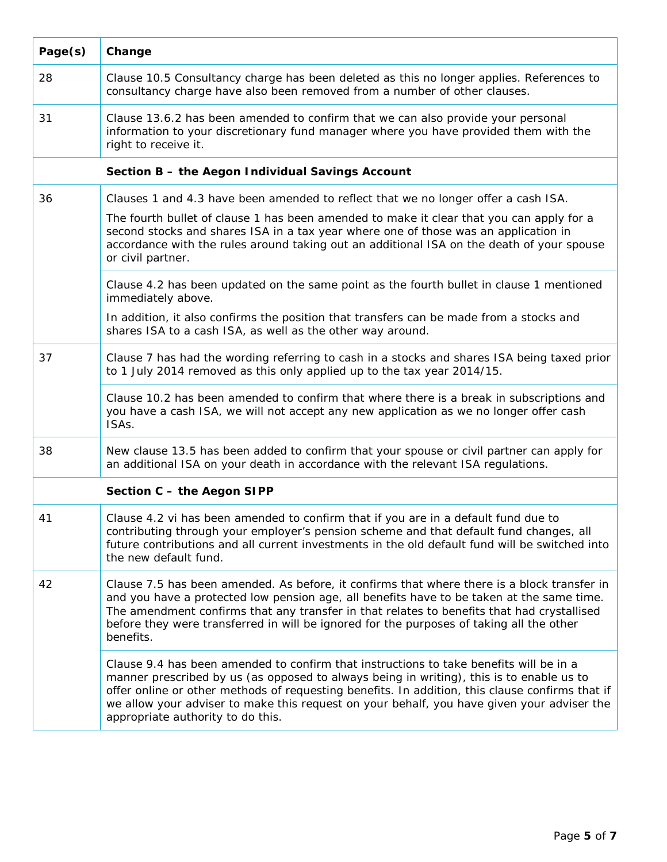| Page(s) | Change                                                                                                                                                                                                                                                                                                                                                                                                                   |
|---------|--------------------------------------------------------------------------------------------------------------------------------------------------------------------------------------------------------------------------------------------------------------------------------------------------------------------------------------------------------------------------------------------------------------------------|
| 28      | Clause 10.5 Consultancy charge has been deleted as this no longer applies. References to<br>consultancy charge have also been removed from a number of other clauses.                                                                                                                                                                                                                                                    |
| 31      | Clause 13.6.2 has been amended to confirm that we can also provide your personal<br>information to your discretionary fund manager where you have provided them with the<br>right to receive it.                                                                                                                                                                                                                         |
|         | Section B - the Aegon Individual Savings Account                                                                                                                                                                                                                                                                                                                                                                         |
| 36      | Clauses 1 and 4.3 have been amended to reflect that we no longer offer a cash ISA.                                                                                                                                                                                                                                                                                                                                       |
|         | The fourth bullet of clause 1 has been amended to make it clear that you can apply for a<br>second stocks and shares ISA in a tax year where one of those was an application in<br>accordance with the rules around taking out an additional ISA on the death of your spouse<br>or civil partner.                                                                                                                        |
|         | Clause 4.2 has been updated on the same point as the fourth bullet in clause 1 mentioned<br>immediately above.                                                                                                                                                                                                                                                                                                           |
|         | In addition, it also confirms the position that transfers can be made from a stocks and<br>shares ISA to a cash ISA, as well as the other way around.                                                                                                                                                                                                                                                                    |
| 37      | Clause 7 has had the wording referring to cash in a stocks and shares ISA being taxed prior<br>to 1 July 2014 removed as this only applied up to the tax year 2014/15.                                                                                                                                                                                                                                                   |
|         | Clause 10.2 has been amended to confirm that where there is a break in subscriptions and<br>you have a cash ISA, we will not accept any new application as we no longer offer cash<br>ISAs.                                                                                                                                                                                                                              |
| 38      | New clause 13.5 has been added to confirm that your spouse or civil partner can apply for<br>an additional ISA on your death in accordance with the relevant ISA regulations.                                                                                                                                                                                                                                            |
|         | Section C - the Aegon SIPP                                                                                                                                                                                                                                                                                                                                                                                               |
| 41      | Clause 4.2 vi has been amended to confirm that if you are in a default fund due to<br>contributing through your employer's pension scheme and that default fund changes, all<br>future contributions and all current investments in the old default fund will be switched into<br>the new default fund.                                                                                                                  |
| 42      | Clause 7.5 has been amended. As before, it confirms that where there is a block transfer in<br>and you have a protected low pension age, all benefits have to be taken at the same time.<br>The amendment confirms that any transfer in that relates to benefits that had crystallised<br>before they were transferred in will be ignored for the purposes of taking all the other<br>benefits.                          |
|         | Clause 9.4 has been amended to confirm that instructions to take benefits will be in a<br>manner prescribed by us (as opposed to always being in writing), this is to enable us to<br>offer online or other methods of requesting benefits. In addition, this clause confirms that if<br>we allow your adviser to make this request on your behalf, you have given your adviser the<br>appropriate authority to do this. |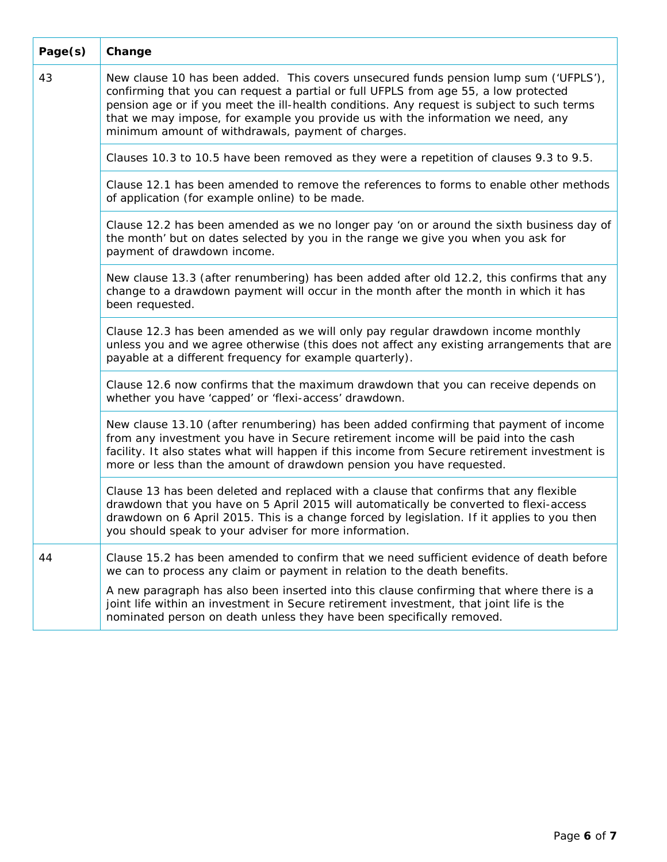| Page(s) | Change                                                                                                                                                                                                                                                                                                                                                                                                                |
|---------|-----------------------------------------------------------------------------------------------------------------------------------------------------------------------------------------------------------------------------------------------------------------------------------------------------------------------------------------------------------------------------------------------------------------------|
| 43      | New clause 10 has been added. This covers unsecured funds pension lump sum ('UFPLS'),<br>confirming that you can request a partial or full UFPLS from age 55, a low protected<br>pension age or if you meet the ill-health conditions. Any request is subject to such terms<br>that we may impose, for example you provide us with the information we need, any<br>minimum amount of withdrawals, payment of charges. |
|         | Clauses 10.3 to 10.5 have been removed as they were a repetition of clauses 9.3 to 9.5.                                                                                                                                                                                                                                                                                                                               |
|         | Clause 12.1 has been amended to remove the references to forms to enable other methods<br>of application (for example online) to be made.                                                                                                                                                                                                                                                                             |
|         | Clause 12.2 has been amended as we no longer pay 'on or around the sixth business day of<br>the month' but on dates selected by you in the range we give you when you ask for<br>payment of drawdown income.                                                                                                                                                                                                          |
|         | New clause 13.3 (after renumbering) has been added after old 12.2, this confirms that any<br>change to a drawdown payment will occur in the month after the month in which it has<br>been requested.                                                                                                                                                                                                                  |
|         | Clause 12.3 has been amended as we will only pay regular drawdown income monthly<br>unless you and we agree otherwise (this does not affect any existing arrangements that are<br>payable at a different frequency for example quarterly).                                                                                                                                                                            |
|         | Clause 12.6 now confirms that the maximum drawdown that you can receive depends on<br>whether you have 'capped' or 'flexi-access' drawdown.                                                                                                                                                                                                                                                                           |
|         | New clause 13.10 (after renumbering) has been added confirming that payment of income<br>from any investment you have in Secure retirement income will be paid into the cash<br>facility. It also states what will happen if this income from Secure retirement investment is<br>more or less than the amount of drawdown pension you have requested.                                                                 |
|         | Clause 13 has been deleted and replaced with a clause that confirms that any flexible<br>drawdown that you have on 5 April 2015 will automatically be converted to flexi-access<br>drawdown on 6 April 2015. This is a change forced by legislation. If it applies to you then<br>you should speak to your adviser for more information.                                                                              |
| 44      | Clause 15.2 has been amended to confirm that we need sufficient evidence of death before<br>we can to process any claim or payment in relation to the death benefits.                                                                                                                                                                                                                                                 |
|         | A new paragraph has also been inserted into this clause confirming that where there is a<br>joint life within an investment in Secure retirement investment, that joint life is the<br>nominated person on death unless they have been specifically removed.                                                                                                                                                          |